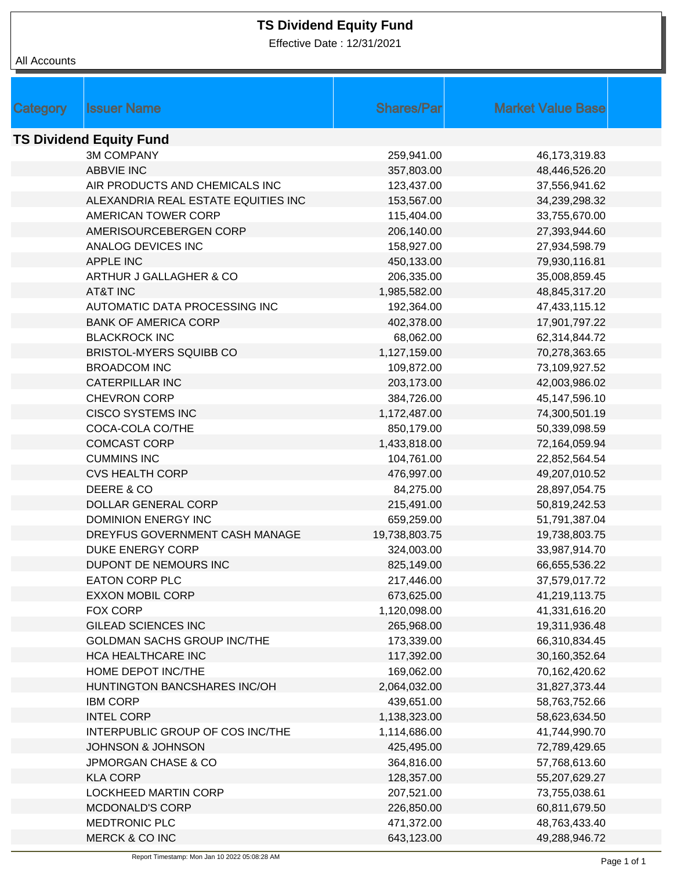## **TS Dividend Equity Fund**

Effective Date : 12/31/2021

|  | All Accounts |
|--|--------------|
|--|--------------|

| <b>Market Value Base</b><br><b>Shares/Par</b><br><b>Issuer Name</b><br>Category<br><b>TS Dividend Equity Fund</b><br><b>3M COMPANY</b><br>259,941.00<br>46,173,319.83<br><b>ABBVIE INC</b><br>48,446,526.20<br>357,803.00<br>AIR PRODUCTS AND CHEMICALS INC<br>123,437.00<br>37,556,941.62<br>ALEXANDRIA REAL ESTATE EQUITIES INC<br>153,567.00<br>34,239,298.32<br>AMERICAN TOWER CORP<br>115,404.00<br>33,755,670.00<br>AMERISOURCEBERGEN CORP<br>206,140.00<br>27,393,944.60<br>ANALOG DEVICES INC<br>158,927.00<br>27,934,598.79<br><b>APPLE INC</b><br>450,133.00<br>79,930,116.81<br>ARTHUR J GALLAGHER & CO<br>206,335.00<br>35,008,859.45<br><b>AT&amp;T INC</b><br>1,985,582.00<br>48,845,317.20<br>AUTOMATIC DATA PROCESSING INC<br>192,364.00<br>47,433,115.12<br><b>BANK OF AMERICA CORP</b><br>402,378.00<br>17,901,797.22<br><b>BLACKROCK INC</b><br>68,062.00<br>62,314,844.72<br><b>BRISTOL-MYERS SQUIBB CO</b><br>1,127,159.00<br>70,278,363.65<br><b>BROADCOM INC</b><br>109,872.00<br>73,109,927.52<br><b>CATERPILLAR INC</b><br>203,173.00<br>42,003,986.02<br>CHEVRON CORP<br>384,726.00<br>45,147,596.10<br><b>CISCO SYSTEMS INC</b><br>1,172,487.00<br>74,300,501.19<br>COCA-COLA CO/THE<br>850,179.00<br>50,339,098.59<br><b>COMCAST CORP</b><br>1,433,818.00<br>72,164,059.94<br><b>CUMMINS INC</b><br>104,761.00<br>22,852,564.54<br><b>CVS HEALTH CORP</b><br>49,207,010.52<br>476,997.00<br>DEERE & CO<br>84,275.00<br>28,897,054.75<br>DOLLAR GENERAL CORP<br>215,491.00<br>50,819,242.53<br>DOMINION ENERGY INC<br>659,259.00<br>51,791,387.04<br>DREYFUS GOVERNMENT CASH MANAGE<br>19,738,803.75<br>19,738,803.75<br><b>DUKE ENERGY CORP</b><br>33,987,914.70<br>324,003.00<br>DUPONT DE NEMOURS INC<br>825,149.00<br>66,655,536.22<br><b>EATON CORP PLC</b><br>217,446.00<br>37,579,017.72<br><b>EXXON MOBIL CORP</b><br>673,625.00<br>41,219,113.75<br>FOX CORP<br>1,120,098.00<br>41,331,616.20<br><b>GILEAD SCIENCES INC</b><br>19,311,936.48<br>265,968.00<br><b>GOLDMAN SACHS GROUP INC/THE</b><br>66,310,834.45<br>173,339.00<br>HCA HEALTHCARE INC<br>117,392.00<br>30,160,352.64<br>HOME DEPOT INC/THE<br>169,062.00<br>70,162,420.62<br>HUNTINGTON BANCSHARES INC/OH<br>2,064,032.00<br>31,827,373.44<br><b>IBM CORP</b><br>439,651.00<br>58,763,752.66<br><b>INTEL CORP</b><br>1,138,323.00<br>58,623,634.50<br>INTERPUBLIC GROUP OF COS INC/THE<br>1,114,686.00<br>41,744,990.70<br><b>JOHNSON &amp; JOHNSON</b><br>425,495.00<br>72,789,429.65<br><b>JPMORGAN CHASE &amp; CO</b><br>364,816.00<br>57,768,613.60<br><b>KLA CORP</b><br>128,357.00<br>55,207,629.27<br>LOCKHEED MARTIN CORP<br>207,521.00<br>73,755,038.61<br><b>MCDONALD'S CORP</b><br>226,850.00<br>60,811,679.50<br><b>MEDTRONIC PLC</b><br>471,372.00<br>48,763,433.40<br><b>MERCK &amp; CO INC</b><br>643,123.00<br>49,288,946.72 |  |  |  |
|--------------------------------------------------------------------------------------------------------------------------------------------------------------------------------------------------------------------------------------------------------------------------------------------------------------------------------------------------------------------------------------------------------------------------------------------------------------------------------------------------------------------------------------------------------------------------------------------------------------------------------------------------------------------------------------------------------------------------------------------------------------------------------------------------------------------------------------------------------------------------------------------------------------------------------------------------------------------------------------------------------------------------------------------------------------------------------------------------------------------------------------------------------------------------------------------------------------------------------------------------------------------------------------------------------------------------------------------------------------------------------------------------------------------------------------------------------------------------------------------------------------------------------------------------------------------------------------------------------------------------------------------------------------------------------------------------------------------------------------------------------------------------------------------------------------------------------------------------------------------------------------------------------------------------------------------------------------------------------------------------------------------------------------------------------------------------------------------------------------------------------------------------------------------------------------------------------------------------------------------------------------------------------------------------------------------------------------------------------------------------------------------------------------------------------------------------------------------------------------------------------------------------------------------------------------------------------------------------------------------------------------------------------------------------------------------------------------------------------------------------------------------------------------------------------------------------------------------------|--|--|--|
|                                                                                                                                                                                                                                                                                                                                                                                                                                                                                                                                                                                                                                                                                                                                                                                                                                                                                                                                                                                                                                                                                                                                                                                                                                                                                                                                                                                                                                                                                                                                                                                                                                                                                                                                                                                                                                                                                                                                                                                                                                                                                                                                                                                                                                                                                                                                                                                                                                                                                                                                                                                                                                                                                                                                                                                                                                                  |  |  |  |
|                                                                                                                                                                                                                                                                                                                                                                                                                                                                                                                                                                                                                                                                                                                                                                                                                                                                                                                                                                                                                                                                                                                                                                                                                                                                                                                                                                                                                                                                                                                                                                                                                                                                                                                                                                                                                                                                                                                                                                                                                                                                                                                                                                                                                                                                                                                                                                                                                                                                                                                                                                                                                                                                                                                                                                                                                                                  |  |  |  |
|                                                                                                                                                                                                                                                                                                                                                                                                                                                                                                                                                                                                                                                                                                                                                                                                                                                                                                                                                                                                                                                                                                                                                                                                                                                                                                                                                                                                                                                                                                                                                                                                                                                                                                                                                                                                                                                                                                                                                                                                                                                                                                                                                                                                                                                                                                                                                                                                                                                                                                                                                                                                                                                                                                                                                                                                                                                  |  |  |  |
|                                                                                                                                                                                                                                                                                                                                                                                                                                                                                                                                                                                                                                                                                                                                                                                                                                                                                                                                                                                                                                                                                                                                                                                                                                                                                                                                                                                                                                                                                                                                                                                                                                                                                                                                                                                                                                                                                                                                                                                                                                                                                                                                                                                                                                                                                                                                                                                                                                                                                                                                                                                                                                                                                                                                                                                                                                                  |  |  |  |
|                                                                                                                                                                                                                                                                                                                                                                                                                                                                                                                                                                                                                                                                                                                                                                                                                                                                                                                                                                                                                                                                                                                                                                                                                                                                                                                                                                                                                                                                                                                                                                                                                                                                                                                                                                                                                                                                                                                                                                                                                                                                                                                                                                                                                                                                                                                                                                                                                                                                                                                                                                                                                                                                                                                                                                                                                                                  |  |  |  |
|                                                                                                                                                                                                                                                                                                                                                                                                                                                                                                                                                                                                                                                                                                                                                                                                                                                                                                                                                                                                                                                                                                                                                                                                                                                                                                                                                                                                                                                                                                                                                                                                                                                                                                                                                                                                                                                                                                                                                                                                                                                                                                                                                                                                                                                                                                                                                                                                                                                                                                                                                                                                                                                                                                                                                                                                                                                  |  |  |  |
|                                                                                                                                                                                                                                                                                                                                                                                                                                                                                                                                                                                                                                                                                                                                                                                                                                                                                                                                                                                                                                                                                                                                                                                                                                                                                                                                                                                                                                                                                                                                                                                                                                                                                                                                                                                                                                                                                                                                                                                                                                                                                                                                                                                                                                                                                                                                                                                                                                                                                                                                                                                                                                                                                                                                                                                                                                                  |  |  |  |
|                                                                                                                                                                                                                                                                                                                                                                                                                                                                                                                                                                                                                                                                                                                                                                                                                                                                                                                                                                                                                                                                                                                                                                                                                                                                                                                                                                                                                                                                                                                                                                                                                                                                                                                                                                                                                                                                                                                                                                                                                                                                                                                                                                                                                                                                                                                                                                                                                                                                                                                                                                                                                                                                                                                                                                                                                                                  |  |  |  |
|                                                                                                                                                                                                                                                                                                                                                                                                                                                                                                                                                                                                                                                                                                                                                                                                                                                                                                                                                                                                                                                                                                                                                                                                                                                                                                                                                                                                                                                                                                                                                                                                                                                                                                                                                                                                                                                                                                                                                                                                                                                                                                                                                                                                                                                                                                                                                                                                                                                                                                                                                                                                                                                                                                                                                                                                                                                  |  |  |  |
|                                                                                                                                                                                                                                                                                                                                                                                                                                                                                                                                                                                                                                                                                                                                                                                                                                                                                                                                                                                                                                                                                                                                                                                                                                                                                                                                                                                                                                                                                                                                                                                                                                                                                                                                                                                                                                                                                                                                                                                                                                                                                                                                                                                                                                                                                                                                                                                                                                                                                                                                                                                                                                                                                                                                                                                                                                                  |  |  |  |
|                                                                                                                                                                                                                                                                                                                                                                                                                                                                                                                                                                                                                                                                                                                                                                                                                                                                                                                                                                                                                                                                                                                                                                                                                                                                                                                                                                                                                                                                                                                                                                                                                                                                                                                                                                                                                                                                                                                                                                                                                                                                                                                                                                                                                                                                                                                                                                                                                                                                                                                                                                                                                                                                                                                                                                                                                                                  |  |  |  |
|                                                                                                                                                                                                                                                                                                                                                                                                                                                                                                                                                                                                                                                                                                                                                                                                                                                                                                                                                                                                                                                                                                                                                                                                                                                                                                                                                                                                                                                                                                                                                                                                                                                                                                                                                                                                                                                                                                                                                                                                                                                                                                                                                                                                                                                                                                                                                                                                                                                                                                                                                                                                                                                                                                                                                                                                                                                  |  |  |  |
|                                                                                                                                                                                                                                                                                                                                                                                                                                                                                                                                                                                                                                                                                                                                                                                                                                                                                                                                                                                                                                                                                                                                                                                                                                                                                                                                                                                                                                                                                                                                                                                                                                                                                                                                                                                                                                                                                                                                                                                                                                                                                                                                                                                                                                                                                                                                                                                                                                                                                                                                                                                                                                                                                                                                                                                                                                                  |  |  |  |
|                                                                                                                                                                                                                                                                                                                                                                                                                                                                                                                                                                                                                                                                                                                                                                                                                                                                                                                                                                                                                                                                                                                                                                                                                                                                                                                                                                                                                                                                                                                                                                                                                                                                                                                                                                                                                                                                                                                                                                                                                                                                                                                                                                                                                                                                                                                                                                                                                                                                                                                                                                                                                                                                                                                                                                                                                                                  |  |  |  |
|                                                                                                                                                                                                                                                                                                                                                                                                                                                                                                                                                                                                                                                                                                                                                                                                                                                                                                                                                                                                                                                                                                                                                                                                                                                                                                                                                                                                                                                                                                                                                                                                                                                                                                                                                                                                                                                                                                                                                                                                                                                                                                                                                                                                                                                                                                                                                                                                                                                                                                                                                                                                                                                                                                                                                                                                                                                  |  |  |  |
|                                                                                                                                                                                                                                                                                                                                                                                                                                                                                                                                                                                                                                                                                                                                                                                                                                                                                                                                                                                                                                                                                                                                                                                                                                                                                                                                                                                                                                                                                                                                                                                                                                                                                                                                                                                                                                                                                                                                                                                                                                                                                                                                                                                                                                                                                                                                                                                                                                                                                                                                                                                                                                                                                                                                                                                                                                                  |  |  |  |
|                                                                                                                                                                                                                                                                                                                                                                                                                                                                                                                                                                                                                                                                                                                                                                                                                                                                                                                                                                                                                                                                                                                                                                                                                                                                                                                                                                                                                                                                                                                                                                                                                                                                                                                                                                                                                                                                                                                                                                                                                                                                                                                                                                                                                                                                                                                                                                                                                                                                                                                                                                                                                                                                                                                                                                                                                                                  |  |  |  |
|                                                                                                                                                                                                                                                                                                                                                                                                                                                                                                                                                                                                                                                                                                                                                                                                                                                                                                                                                                                                                                                                                                                                                                                                                                                                                                                                                                                                                                                                                                                                                                                                                                                                                                                                                                                                                                                                                                                                                                                                                                                                                                                                                                                                                                                                                                                                                                                                                                                                                                                                                                                                                                                                                                                                                                                                                                                  |  |  |  |
|                                                                                                                                                                                                                                                                                                                                                                                                                                                                                                                                                                                                                                                                                                                                                                                                                                                                                                                                                                                                                                                                                                                                                                                                                                                                                                                                                                                                                                                                                                                                                                                                                                                                                                                                                                                                                                                                                                                                                                                                                                                                                                                                                                                                                                                                                                                                                                                                                                                                                                                                                                                                                                                                                                                                                                                                                                                  |  |  |  |
|                                                                                                                                                                                                                                                                                                                                                                                                                                                                                                                                                                                                                                                                                                                                                                                                                                                                                                                                                                                                                                                                                                                                                                                                                                                                                                                                                                                                                                                                                                                                                                                                                                                                                                                                                                                                                                                                                                                                                                                                                                                                                                                                                                                                                                                                                                                                                                                                                                                                                                                                                                                                                                                                                                                                                                                                                                                  |  |  |  |
|                                                                                                                                                                                                                                                                                                                                                                                                                                                                                                                                                                                                                                                                                                                                                                                                                                                                                                                                                                                                                                                                                                                                                                                                                                                                                                                                                                                                                                                                                                                                                                                                                                                                                                                                                                                                                                                                                                                                                                                                                                                                                                                                                                                                                                                                                                                                                                                                                                                                                                                                                                                                                                                                                                                                                                                                                                                  |  |  |  |
|                                                                                                                                                                                                                                                                                                                                                                                                                                                                                                                                                                                                                                                                                                                                                                                                                                                                                                                                                                                                                                                                                                                                                                                                                                                                                                                                                                                                                                                                                                                                                                                                                                                                                                                                                                                                                                                                                                                                                                                                                                                                                                                                                                                                                                                                                                                                                                                                                                                                                                                                                                                                                                                                                                                                                                                                                                                  |  |  |  |
|                                                                                                                                                                                                                                                                                                                                                                                                                                                                                                                                                                                                                                                                                                                                                                                                                                                                                                                                                                                                                                                                                                                                                                                                                                                                                                                                                                                                                                                                                                                                                                                                                                                                                                                                                                                                                                                                                                                                                                                                                                                                                                                                                                                                                                                                                                                                                                                                                                                                                                                                                                                                                                                                                                                                                                                                                                                  |  |  |  |
|                                                                                                                                                                                                                                                                                                                                                                                                                                                                                                                                                                                                                                                                                                                                                                                                                                                                                                                                                                                                                                                                                                                                                                                                                                                                                                                                                                                                                                                                                                                                                                                                                                                                                                                                                                                                                                                                                                                                                                                                                                                                                                                                                                                                                                                                                                                                                                                                                                                                                                                                                                                                                                                                                                                                                                                                                                                  |  |  |  |
|                                                                                                                                                                                                                                                                                                                                                                                                                                                                                                                                                                                                                                                                                                                                                                                                                                                                                                                                                                                                                                                                                                                                                                                                                                                                                                                                                                                                                                                                                                                                                                                                                                                                                                                                                                                                                                                                                                                                                                                                                                                                                                                                                                                                                                                                                                                                                                                                                                                                                                                                                                                                                                                                                                                                                                                                                                                  |  |  |  |
|                                                                                                                                                                                                                                                                                                                                                                                                                                                                                                                                                                                                                                                                                                                                                                                                                                                                                                                                                                                                                                                                                                                                                                                                                                                                                                                                                                                                                                                                                                                                                                                                                                                                                                                                                                                                                                                                                                                                                                                                                                                                                                                                                                                                                                                                                                                                                                                                                                                                                                                                                                                                                                                                                                                                                                                                                                                  |  |  |  |
|                                                                                                                                                                                                                                                                                                                                                                                                                                                                                                                                                                                                                                                                                                                                                                                                                                                                                                                                                                                                                                                                                                                                                                                                                                                                                                                                                                                                                                                                                                                                                                                                                                                                                                                                                                                                                                                                                                                                                                                                                                                                                                                                                                                                                                                                                                                                                                                                                                                                                                                                                                                                                                                                                                                                                                                                                                                  |  |  |  |
|                                                                                                                                                                                                                                                                                                                                                                                                                                                                                                                                                                                                                                                                                                                                                                                                                                                                                                                                                                                                                                                                                                                                                                                                                                                                                                                                                                                                                                                                                                                                                                                                                                                                                                                                                                                                                                                                                                                                                                                                                                                                                                                                                                                                                                                                                                                                                                                                                                                                                                                                                                                                                                                                                                                                                                                                                                                  |  |  |  |
|                                                                                                                                                                                                                                                                                                                                                                                                                                                                                                                                                                                                                                                                                                                                                                                                                                                                                                                                                                                                                                                                                                                                                                                                                                                                                                                                                                                                                                                                                                                                                                                                                                                                                                                                                                                                                                                                                                                                                                                                                                                                                                                                                                                                                                                                                                                                                                                                                                                                                                                                                                                                                                                                                                                                                                                                                                                  |  |  |  |
|                                                                                                                                                                                                                                                                                                                                                                                                                                                                                                                                                                                                                                                                                                                                                                                                                                                                                                                                                                                                                                                                                                                                                                                                                                                                                                                                                                                                                                                                                                                                                                                                                                                                                                                                                                                                                                                                                                                                                                                                                                                                                                                                                                                                                                                                                                                                                                                                                                                                                                                                                                                                                                                                                                                                                                                                                                                  |  |  |  |
|                                                                                                                                                                                                                                                                                                                                                                                                                                                                                                                                                                                                                                                                                                                                                                                                                                                                                                                                                                                                                                                                                                                                                                                                                                                                                                                                                                                                                                                                                                                                                                                                                                                                                                                                                                                                                                                                                                                                                                                                                                                                                                                                                                                                                                                                                                                                                                                                                                                                                                                                                                                                                                                                                                                                                                                                                                                  |  |  |  |
|                                                                                                                                                                                                                                                                                                                                                                                                                                                                                                                                                                                                                                                                                                                                                                                                                                                                                                                                                                                                                                                                                                                                                                                                                                                                                                                                                                                                                                                                                                                                                                                                                                                                                                                                                                                                                                                                                                                                                                                                                                                                                                                                                                                                                                                                                                                                                                                                                                                                                                                                                                                                                                                                                                                                                                                                                                                  |  |  |  |
|                                                                                                                                                                                                                                                                                                                                                                                                                                                                                                                                                                                                                                                                                                                                                                                                                                                                                                                                                                                                                                                                                                                                                                                                                                                                                                                                                                                                                                                                                                                                                                                                                                                                                                                                                                                                                                                                                                                                                                                                                                                                                                                                                                                                                                                                                                                                                                                                                                                                                                                                                                                                                                                                                                                                                                                                                                                  |  |  |  |
|                                                                                                                                                                                                                                                                                                                                                                                                                                                                                                                                                                                                                                                                                                                                                                                                                                                                                                                                                                                                                                                                                                                                                                                                                                                                                                                                                                                                                                                                                                                                                                                                                                                                                                                                                                                                                                                                                                                                                                                                                                                                                                                                                                                                                                                                                                                                                                                                                                                                                                                                                                                                                                                                                                                                                                                                                                                  |  |  |  |
|                                                                                                                                                                                                                                                                                                                                                                                                                                                                                                                                                                                                                                                                                                                                                                                                                                                                                                                                                                                                                                                                                                                                                                                                                                                                                                                                                                                                                                                                                                                                                                                                                                                                                                                                                                                                                                                                                                                                                                                                                                                                                                                                                                                                                                                                                                                                                                                                                                                                                                                                                                                                                                                                                                                                                                                                                                                  |  |  |  |
|                                                                                                                                                                                                                                                                                                                                                                                                                                                                                                                                                                                                                                                                                                                                                                                                                                                                                                                                                                                                                                                                                                                                                                                                                                                                                                                                                                                                                                                                                                                                                                                                                                                                                                                                                                                                                                                                                                                                                                                                                                                                                                                                                                                                                                                                                                                                                                                                                                                                                                                                                                                                                                                                                                                                                                                                                                                  |  |  |  |
|                                                                                                                                                                                                                                                                                                                                                                                                                                                                                                                                                                                                                                                                                                                                                                                                                                                                                                                                                                                                                                                                                                                                                                                                                                                                                                                                                                                                                                                                                                                                                                                                                                                                                                                                                                                                                                                                                                                                                                                                                                                                                                                                                                                                                                                                                                                                                                                                                                                                                                                                                                                                                                                                                                                                                                                                                                                  |  |  |  |
|                                                                                                                                                                                                                                                                                                                                                                                                                                                                                                                                                                                                                                                                                                                                                                                                                                                                                                                                                                                                                                                                                                                                                                                                                                                                                                                                                                                                                                                                                                                                                                                                                                                                                                                                                                                                                                                                                                                                                                                                                                                                                                                                                                                                                                                                                                                                                                                                                                                                                                                                                                                                                                                                                                                                                                                                                                                  |  |  |  |
|                                                                                                                                                                                                                                                                                                                                                                                                                                                                                                                                                                                                                                                                                                                                                                                                                                                                                                                                                                                                                                                                                                                                                                                                                                                                                                                                                                                                                                                                                                                                                                                                                                                                                                                                                                                                                                                                                                                                                                                                                                                                                                                                                                                                                                                                                                                                                                                                                                                                                                                                                                                                                                                                                                                                                                                                                                                  |  |  |  |
|                                                                                                                                                                                                                                                                                                                                                                                                                                                                                                                                                                                                                                                                                                                                                                                                                                                                                                                                                                                                                                                                                                                                                                                                                                                                                                                                                                                                                                                                                                                                                                                                                                                                                                                                                                                                                                                                                                                                                                                                                                                                                                                                                                                                                                                                                                                                                                                                                                                                                                                                                                                                                                                                                                                                                                                                                                                  |  |  |  |
|                                                                                                                                                                                                                                                                                                                                                                                                                                                                                                                                                                                                                                                                                                                                                                                                                                                                                                                                                                                                                                                                                                                                                                                                                                                                                                                                                                                                                                                                                                                                                                                                                                                                                                                                                                                                                                                                                                                                                                                                                                                                                                                                                                                                                                                                                                                                                                                                                                                                                                                                                                                                                                                                                                                                                                                                                                                  |  |  |  |
|                                                                                                                                                                                                                                                                                                                                                                                                                                                                                                                                                                                                                                                                                                                                                                                                                                                                                                                                                                                                                                                                                                                                                                                                                                                                                                                                                                                                                                                                                                                                                                                                                                                                                                                                                                                                                                                                                                                                                                                                                                                                                                                                                                                                                                                                                                                                                                                                                                                                                                                                                                                                                                                                                                                                                                                                                                                  |  |  |  |
|                                                                                                                                                                                                                                                                                                                                                                                                                                                                                                                                                                                                                                                                                                                                                                                                                                                                                                                                                                                                                                                                                                                                                                                                                                                                                                                                                                                                                                                                                                                                                                                                                                                                                                                                                                                                                                                                                                                                                                                                                                                                                                                                                                                                                                                                                                                                                                                                                                                                                                                                                                                                                                                                                                                                                                                                                                                  |  |  |  |
|                                                                                                                                                                                                                                                                                                                                                                                                                                                                                                                                                                                                                                                                                                                                                                                                                                                                                                                                                                                                                                                                                                                                                                                                                                                                                                                                                                                                                                                                                                                                                                                                                                                                                                                                                                                                                                                                                                                                                                                                                                                                                                                                                                                                                                                                                                                                                                                                                                                                                                                                                                                                                                                                                                                                                                                                                                                  |  |  |  |
|                                                                                                                                                                                                                                                                                                                                                                                                                                                                                                                                                                                                                                                                                                                                                                                                                                                                                                                                                                                                                                                                                                                                                                                                                                                                                                                                                                                                                                                                                                                                                                                                                                                                                                                                                                                                                                                                                                                                                                                                                                                                                                                                                                                                                                                                                                                                                                                                                                                                                                                                                                                                                                                                                                                                                                                                                                                  |  |  |  |
|                                                                                                                                                                                                                                                                                                                                                                                                                                                                                                                                                                                                                                                                                                                                                                                                                                                                                                                                                                                                                                                                                                                                                                                                                                                                                                                                                                                                                                                                                                                                                                                                                                                                                                                                                                                                                                                                                                                                                                                                                                                                                                                                                                                                                                                                                                                                                                                                                                                                                                                                                                                                                                                                                                                                                                                                                                                  |  |  |  |
|                                                                                                                                                                                                                                                                                                                                                                                                                                                                                                                                                                                                                                                                                                                                                                                                                                                                                                                                                                                                                                                                                                                                                                                                                                                                                                                                                                                                                                                                                                                                                                                                                                                                                                                                                                                                                                                                                                                                                                                                                                                                                                                                                                                                                                                                                                                                                                                                                                                                                                                                                                                                                                                                                                                                                                                                                                                  |  |  |  |
|                                                                                                                                                                                                                                                                                                                                                                                                                                                                                                                                                                                                                                                                                                                                                                                                                                                                                                                                                                                                                                                                                                                                                                                                                                                                                                                                                                                                                                                                                                                                                                                                                                                                                                                                                                                                                                                                                                                                                                                                                                                                                                                                                                                                                                                                                                                                                                                                                                                                                                                                                                                                                                                                                                                                                                                                                                                  |  |  |  |
|                                                                                                                                                                                                                                                                                                                                                                                                                                                                                                                                                                                                                                                                                                                                                                                                                                                                                                                                                                                                                                                                                                                                                                                                                                                                                                                                                                                                                                                                                                                                                                                                                                                                                                                                                                                                                                                                                                                                                                                                                                                                                                                                                                                                                                                                                                                                                                                                                                                                                                                                                                                                                                                                                                                                                                                                                                                  |  |  |  |
|                                                                                                                                                                                                                                                                                                                                                                                                                                                                                                                                                                                                                                                                                                                                                                                                                                                                                                                                                                                                                                                                                                                                                                                                                                                                                                                                                                                                                                                                                                                                                                                                                                                                                                                                                                                                                                                                                                                                                                                                                                                                                                                                                                                                                                                                                                                                                                                                                                                                                                                                                                                                                                                                                                                                                                                                                                                  |  |  |  |